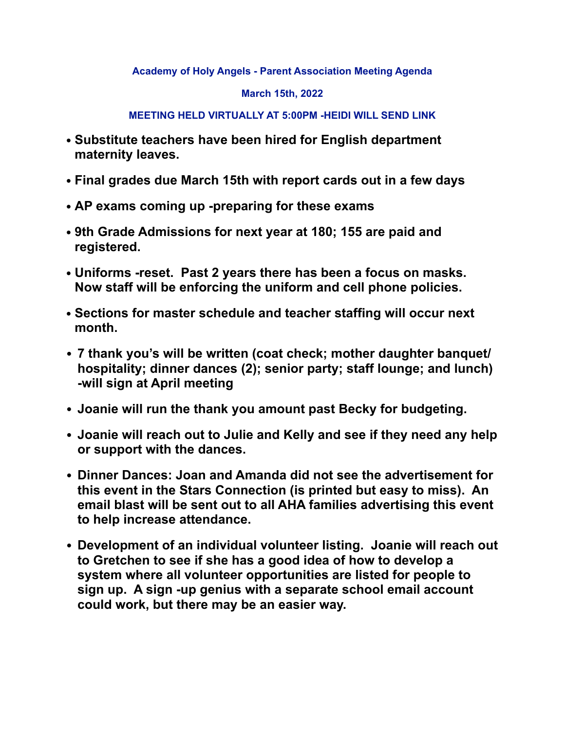**Academy of Holy Angels - Parent Association Meeting Agenda** 

## **March 15th, 2022**

## **MEETING HELD VIRTUALLY AT 5:00PM -HEIDI WILL SEND LINK**

- **• Substitute teachers have been hired for English department maternity leaves.**
- **• Final grades due March 15th with report cards out in a few days**
- **• AP exams coming up -preparing for these exams**
- **• 9th Grade Admissions for next year at 180; 155 are paid and registered.**
- **• Uniforms -reset. Past 2 years there has been a focus on masks. Now staff will be enforcing the uniform and cell phone policies.**
- **• Sections for master schedule and teacher staffing will occur next month.**
- **7 thank you's will be written (coat check; mother daughter banquet/ hospitality; dinner dances (2); senior party; staff lounge; and lunch) -will sign at April meeting**
- **Joanie will run the thank you amount past Becky for budgeting.**
- **Joanie will reach out to Julie and Kelly and see if they need any help or support with the dances.**
- **Dinner Dances: Joan and Amanda did not see the advertisement for this event in the Stars Connection (is printed but easy to miss). An email blast will be sent out to all AHA families advertising this event to help increase attendance.**
- **Development of an individual volunteer listing. Joanie will reach out to Gretchen to see if she has a good idea of how to develop a system where all volunteer opportunities are listed for people to sign up. A sign -up genius with a separate school email account could work, but there may be an easier way.**